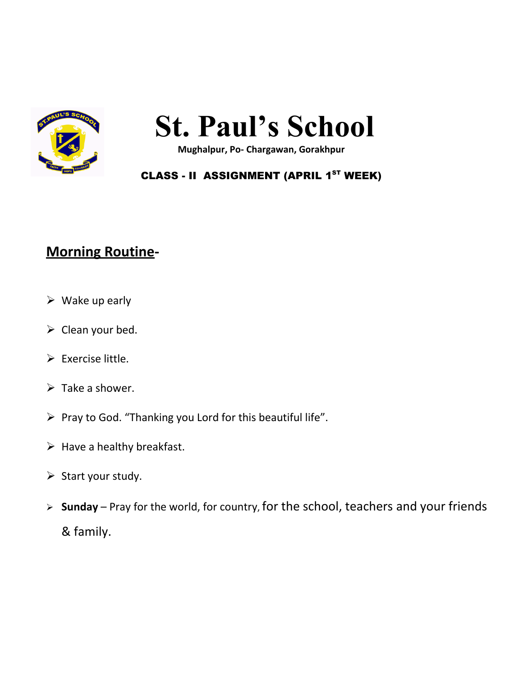

# **St. Paul's School**

**Mughalpur, Po- Chargawan, Gorakhpur**

#### CLASS - II ASSIGNMENT (APRIL 1<sup>ST</sup> WEEK)

### **Morning Routine-**

- $\triangleright$  Wake up early
- $\triangleright$  Clean your bed.
- $\triangleright$  Exercise little.
- $\triangleright$  Take a shower.
- $\triangleright$  Pray to God. "Thanking you Lord for this beautiful life".
- $\triangleright$  Have a healthy breakfast.
- $\triangleright$  Start your study.
- **Sunday** Pray for the world, for country, for the school, teachers and your friends & family.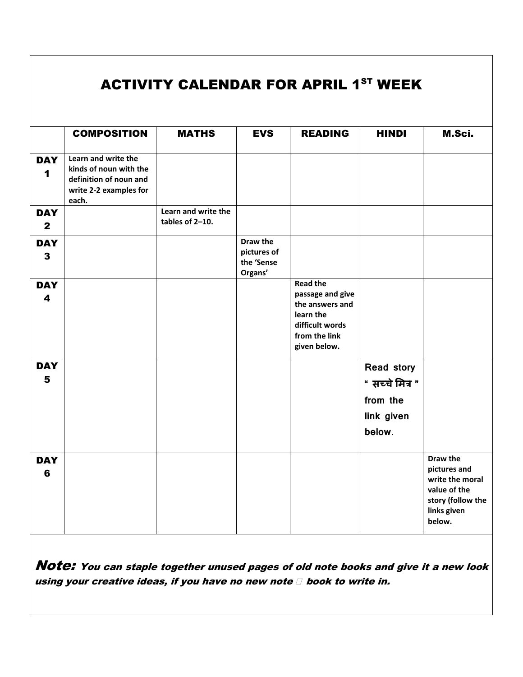|                                       |                                                                                                            | <b>ACTIVITY CALENDAR FOR APRIL 1ST WEEK</b> |                                                  |                                                                                                                         |                                                                   |                                                                                                           |
|---------------------------------------|------------------------------------------------------------------------------------------------------------|---------------------------------------------|--------------------------------------------------|-------------------------------------------------------------------------------------------------------------------------|-------------------------------------------------------------------|-----------------------------------------------------------------------------------------------------------|
|                                       | <b>COMPOSITION</b>                                                                                         | <b>MATHS</b>                                | <b>EVS</b>                                       | <b>READING</b>                                                                                                          | <b>HINDI</b>                                                      | M.Sci.                                                                                                    |
| <b>DAY</b><br>1                       | Learn and write the<br>kinds of noun with the<br>definition of noun and<br>write 2-2 examples for<br>each. |                                             |                                                  |                                                                                                                         |                                                                   |                                                                                                           |
| <b>DAY</b><br>$\mathbf{2}$            |                                                                                                            | Learn and write the<br>tables of 2-10.      |                                                  |                                                                                                                         |                                                                   |                                                                                                           |
| <b>DAY</b><br>$\mathbf{3}$            |                                                                                                            |                                             | Draw the<br>pictures of<br>the 'Sense<br>Organs' |                                                                                                                         |                                                                   |                                                                                                           |
| <b>DAY</b><br>$\overline{\mathbf{4}}$ |                                                                                                            |                                             |                                                  | <b>Read the</b><br>passage and give<br>the answers and<br>learn the<br>difficult words<br>from the link<br>given below. |                                                                   |                                                                                                           |
| <b>DAY</b><br>5                       |                                                                                                            |                                             |                                                  |                                                                                                                         | Read story<br>" सच्चे मित्र "<br>from the<br>link given<br>below. |                                                                                                           |
| <b>DAY</b><br>6                       |                                                                                                            |                                             |                                                  |                                                                                                                         |                                                                   | Draw the<br>pictures and<br>write the moral<br>value of the<br>story (follow the<br>links given<br>below. |

Note: You can staple together unused pages of old note books and give it a new look using your creative ideas, if you have no new note  $\square$  book to write in.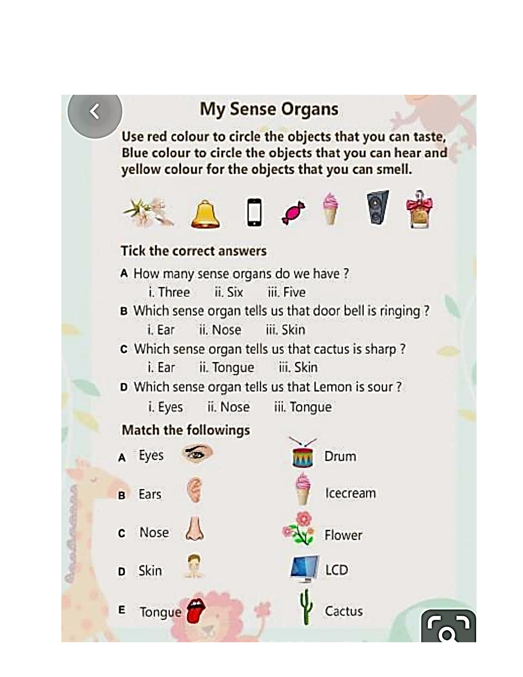# **My Sense Organs**

Use red colour to circle the objects that you can taste, Blue colour to circle the objects that you can hear and yellow colour for the objects that you can smell.



## **Tick the correct answers**

A How many sense organs do we have? i. Three ii. Six iii. Five B Which sense organ tells us that door bell is ringing ? ii. Nose iii. Skin i. Ear c Which sense organ tells us that cactus is sharp? iii. Skin i. Ear ii. Tongue D Which sense organ tells us that Lemon is sour ?

ii. Nose i. Eyes iii. Tongue

### **Match the followings**